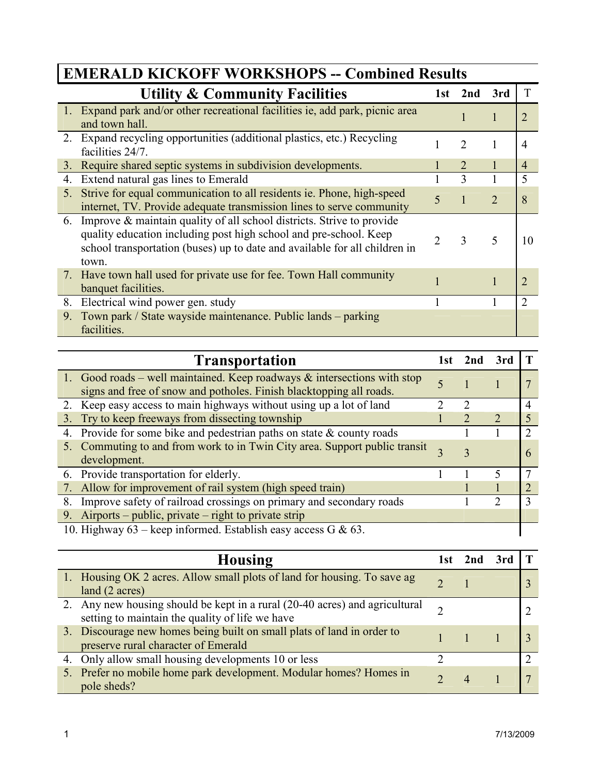|                | <b>Utility &amp; Community Facilities</b>                                                                                                                                                                                         | 1st | 2nd                         | 3rd |                  |  |
|----------------|-----------------------------------------------------------------------------------------------------------------------------------------------------------------------------------------------------------------------------------|-----|-----------------------------|-----|------------------|--|
|                | 1. Expand park and/or other recreational facilities ie, add park, picnic area<br>and town hall.                                                                                                                                   |     |                             |     |                  |  |
| 2.             | Expand recycling opportunities (additional plastics, etc.) Recycling<br>facilities 24/7.                                                                                                                                          |     | $\mathcal{D}_{\mathcal{L}}$ |     | $\overline{4}$   |  |
|                | 3. Require shared septic systems in subdivision developments.                                                                                                                                                                     |     |                             |     | $\overline{4}$   |  |
| 4.             | Extend natural gas lines to Emerald                                                                                                                                                                                               |     | 3                           |     | 5                |  |
| 5.             | Strive for equal communication to all residents ie. Phone, high-speed<br>internet, TV. Provide adequate transmission lines to serve community                                                                                     | 5   |                             | 2   | 8                |  |
| 6.             | Improve & maintain quality of all school districts. Strive to provide<br>quality education including post high school and pre-school. Keep<br>school transportation (buses) up to date and available for all children in<br>town. |     | 3                           |     | 10               |  |
|                | 7. Have town hall used for private use for fee. Town Hall community<br>banquet facilities.                                                                                                                                        |     |                             |     | $\sum_{i=1}^{n}$ |  |
| 8.             | Electrical wind power gen. study                                                                                                                                                                                                  |     |                             |     | $\mathfrak{D}$   |  |
| 9 <sub>1</sub> | Town park / State wayside maintenance. Public lands – parking<br>facilities.                                                                                                                                                      |     |                             |     |                  |  |

## EMERALD KICKOFF WORKSHOPS -- Combined Results

| <b>Transportation</b>                                                                                                                           | 1st | 2nd | 3rd |  |
|-------------------------------------------------------------------------------------------------------------------------------------------------|-----|-----|-----|--|
| 1. Good roads – well maintained. Keep roadways & intersections with stop<br>signs and free of snow and potholes. Finish blacktopping all roads. |     |     |     |  |
| 2. Keep easy access to main highways without using up a lot of land                                                                             |     |     |     |  |
| Try to keep freeways from dissecting township<br>3.                                                                                             |     |     |     |  |
| Provide for some bike and pedestrian paths on state $\&$ county roads<br>4.                                                                     |     |     |     |  |
| 5. Commuting to and from work to in Twin City area. Support public transit<br>development.                                                      |     |     |     |  |
| 6. Provide transportation for elderly.                                                                                                          |     |     |     |  |
| 7. Allow for improvement of rail system (high speed train)                                                                                      |     |     |     |  |
| Improve safety of railroad crossings on primary and secondary roads<br>8.                                                                       |     |     | າ   |  |
| 9. Airports – public, private – right to private strip                                                                                          |     |     |     |  |
| 10. Highway 63 – keep informed. Establish easy access G & 63.                                                                                   |     |     |     |  |

| <b>Housing</b>                                                                                                                 | 1st | 2nd |   |
|--------------------------------------------------------------------------------------------------------------------------------|-----|-----|---|
| 1. Housing OK 2 acres. Allow small plots of land for housing. To save ag<br>land (2 acres)                                     |     |     |   |
| 2. Any new housing should be kept in a rural (20-40 acres) and agricultural<br>setting to maintain the quality of life we have |     |     |   |
| 3. Discourage new homes being built on small plats of land in order to<br>preserve rural character of Emerald                  |     |     |   |
| 4. Only allow small housing developments 10 or less                                                                            |     |     | ∍ |
| 5. Prefer no mobile home park development. Modular homes? Homes in<br>pole sheds?                                              |     |     |   |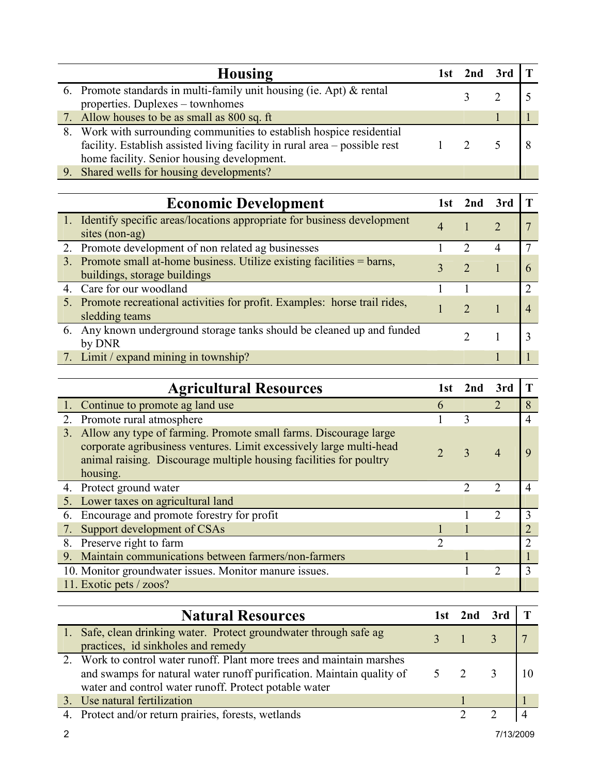| Housing                                                                    | l st | 2nd 3rd |  |
|----------------------------------------------------------------------------|------|---------|--|
| 6. Promote standards in multi-family unit housing (ie. Apt) $\&$ rental    |      |         |  |
| properties. Duplexes – townhomes                                           |      |         |  |
| 7. Allow houses to be as small as 800 sq. ft                               |      |         |  |
| 8. Work with surrounding communities to establish hospice residential      |      |         |  |
| facility. Establish assisted living facility in rural area – possible rest |      |         |  |
| home facility. Senior housing development.                                 |      |         |  |
| 9. Shared wells for housing developments?                                  |      |         |  |

| <b>Economic Development</b>                                                                             |   | 1st 2nd 3rd |  |
|---------------------------------------------------------------------------------------------------------|---|-------------|--|
| 1. Identify specific areas/locations appropriate for business development<br>sites (non-ag)             | 4 |             |  |
| 2. Promote development of non related ag businesses                                                     |   |             |  |
| 3. Promote small at-home business. Utilize existing facilities = barns,<br>buildings, storage buildings |   |             |  |
| 4. Care for our woodland                                                                                |   |             |  |
| 5. Promote recreational activities for profit. Examples: horse trail rides,<br>sledding teams           |   |             |  |
| 6. Any known underground storage tanks should be cleaned up and funded<br>by DNR                        |   |             |  |
| 7. Limit / expand mining in township?                                                                   |   |             |  |

| <b>Agricultural Resources</b>                                                                                                                                                                                                | 1st            | 2nd | 3rd           |                |
|------------------------------------------------------------------------------------------------------------------------------------------------------------------------------------------------------------------------------|----------------|-----|---------------|----------------|
| 1. Continue to promote ag land use                                                                                                                                                                                           | 6              |     | っ             | 8              |
| 2. Promote rural atmosphere                                                                                                                                                                                                  |                | 3   |               | $\overline{4}$ |
| 3. Allow any type of farming. Promote small farms. Discourage large<br>corporate agribusiness ventures. Limit excessively large multi-head<br>animal raising. Discourage multiple housing facilities for poultry<br>housing. | $\overline{2}$ | 3   | 4             | 9              |
| 4. Protect ground water                                                                                                                                                                                                      |                | C   | 2             | 4              |
| 5. Lower taxes on agricultural land                                                                                                                                                                                          |                |     |               |                |
| Encourage and promote forestry for profit<br>6.                                                                                                                                                                              |                |     | $\mathcal{D}$ | 3              |
| 7. Support development of CSAs                                                                                                                                                                                               |                |     |               |                |
| Preserve right to farm<br>8.                                                                                                                                                                                                 | C              |     |               | 2              |
| 9. Maintain communications between farmers/non-farmers                                                                                                                                                                       |                |     |               |                |
| 10. Monitor groundwater issues. Monitor manure issues.                                                                                                                                                                       |                |     |               | 3              |
| 11. Exotic pets / zoos?                                                                                                                                                                                                      |                |     |               |                |

| <b>Natural Resources</b>                                                                                                                                                                                 | 1st 2nd 3rd |                           |  |
|----------------------------------------------------------------------------------------------------------------------------------------------------------------------------------------------------------|-------------|---------------------------|--|
| 1. Safe, clean drinking water. Protect groundwater through safe ag<br>practices, id sinkholes and remedy                                                                                                 |             |                           |  |
| 2. Work to control water runoff. Plant more trees and maintain marshes<br>and swamps for natural water runoff purification. Maintain quality of<br>water and control water runoff. Protect potable water |             | $\overline{\phantom{a}3}$ |  |
| 3. Use natural fertilization                                                                                                                                                                             |             |                           |  |
| 4. Protect and/or return prairies, forests, wetlands                                                                                                                                                     |             |                           |  |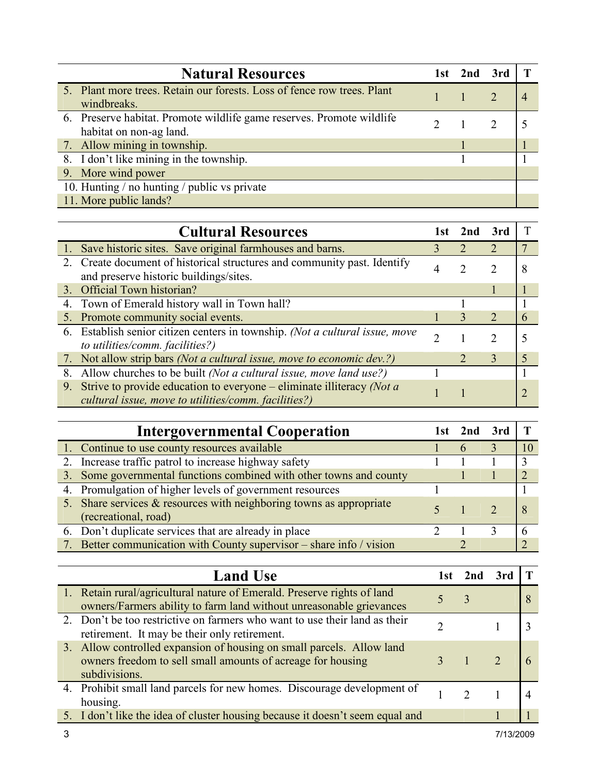| <b>Natural Resources</b>                                                                         | 1st 2nd 3rd |  |
|--------------------------------------------------------------------------------------------------|-------------|--|
| 5. Plant more trees. Retain our forests. Loss of fence row trees. Plant<br>windbreaks.           |             |  |
| 6. Preserve habitat. Promote wildlife game reserves. Promote wildlife<br>habitat on non-ag land. |             |  |
| 7. Allow mining in township.                                                                     |             |  |
| 8. I don't like mining in the township.                                                          |             |  |
| 9. More wind power                                                                               |             |  |
| 10. Hunting / no hunting / public vs private                                                     |             |  |
| 11. More public lands?                                                                           |             |  |

|    | <b>Cultural Resources</b>                                                                                                       | l st | 2nd | 3rd                   |   |
|----|---------------------------------------------------------------------------------------------------------------------------------|------|-----|-----------------------|---|
|    | 1. Save historic sites. Save original farmhouses and barns.                                                                     |      |     | 2                     |   |
|    | 2. Create document of historical structures and community past. Identify<br>and preserve historic buildings/sites.              |      |     | 2                     | 8 |
|    | 3. Official Town historian?                                                                                                     |      |     |                       |   |
|    | 4. Town of Emerald history wall in Town hall?                                                                                   |      |     |                       |   |
|    | 5. Promote community social events.                                                                                             |      | 3   | $\mathcal{D}_{\cdot}$ | 6 |
|    | 6. Establish senior citizen centers in township. (Not a cultural issue, move<br>to utilities/comm. facilities?)                 |      |     | $\mathcal{D}$         |   |
|    | 7. Not allow strip bars (Not a cultural issue, move to economic dev.?)                                                          |      |     | 3                     |   |
| 8. | Allow churches to be built <i>(Not a cultural issue, move land use?)</i>                                                        |      |     |                       |   |
| 9. | Strive to provide education to everyone – eliminate illiteracy (Not $a$<br>cultural issue, move to utilities/comm. facilities?) |      |     |                       |   |

| <b>Intergovernmental Cooperation</b>                                                          |  | 3rd |               |
|-----------------------------------------------------------------------------------------------|--|-----|---------------|
| 1. Continue to use county resources available                                                 |  |     |               |
| 2. Increase traffic patrol to increase highway safety                                         |  |     | $\mathcal{R}$ |
| 3. Some governmental functions combined with other towns and county                           |  |     |               |
| 4. Promulgation of higher levels of government resources                                      |  |     |               |
| 5. Share services $&$ resources with neighboring towns as appropriate<br>(recreational, road) |  |     |               |
| 6. Don't duplicate services that are already in place                                         |  |     |               |
| 7. Better communication with County supervisor – share info / vision                          |  |     |               |

| <b>Land Use</b>                                                                                                                                       | 1st. | 2nd 3rd |  |
|-------------------------------------------------------------------------------------------------------------------------------------------------------|------|---------|--|
| 1. Retain rural/agricultural nature of Emerald. Preserve rights of land<br>owners/Farmers ability to farm land without unreasonable grievances        |      |         |  |
| 2. Don't be too restrictive on farmers who want to use their land as their<br>retirement. It may be their only retirement.                            |      |         |  |
| 3. Allow controlled expansion of housing on small parcels. Allow land<br>owners freedom to sell small amounts of acreage for housing<br>subdivisions. |      |         |  |
| 4. Prohibit small land parcels for new homes. Discourage development of<br>housing.                                                                   |      |         |  |
| 5. I don't like the idea of cluster housing because it doesn't seem equal and                                                                         |      |         |  |